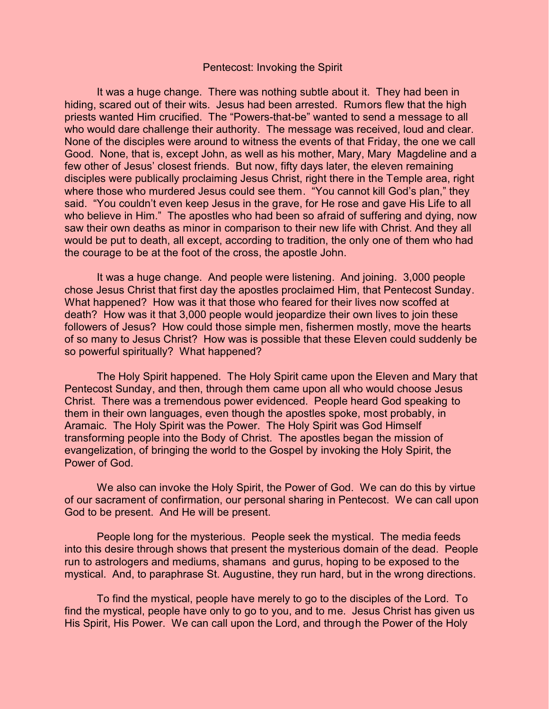## Pentecost: Invoking the Spirit

It was a huge change. There was nothing subtle about it. They had been in hiding, scared out of their wits. Jesus had been arrested. Rumors flew that the high priests wanted Him crucified. The "Powers-that-be" wanted to send a message to all who would dare challenge their authority. The message was received, loud and clear. None of the disciples were around to witness the events of that Friday, the one we call Good. None, that is, except John, as well as his mother, Mary, Mary Magdeline and a few other of Jesus' closest friends. But now, fifty days later, the eleven remaining disciples were publically proclaiming Jesus Christ, right there in the Temple area, right where those who murdered Jesus could see them. "You cannot kill God's plan," they said. "You couldn't even keep Jesus in the grave, for He rose and gave His Life to all who believe in Him." The apostles who had been so afraid of suffering and dying, now saw their own deaths as minor in comparison to their new life with Christ. And they all would be put to death, all except, according to tradition, the only one of them who had the courage to be at the foot of the cross, the apostle John.

It was a huge change. And people were listening. And joining. 3,000 people chose Jesus Christ that first day the apostles proclaimed Him, that Pentecost Sunday. What happened? How was it that those who feared for their lives now scoffed at death? How was it that 3,000 people would jeopardize their own lives to join these followers of Jesus? How could those simple men, fishermen mostly, move the hearts of so many to Jesus Christ? How was is possible that these Eleven could suddenly be so powerful spiritually? What happened?

The Holy Spirit happened. The Holy Spirit came upon the Eleven and Mary that Pentecost Sunday, and then, through them came upon all who would choose Jesus Christ. There was a tremendous power evidenced. People heard God speaking to them in their own languages, even though the apostles spoke, most probably, in Aramaic. The Holy Spirit was the Power. The Holy Spirit was God Himself transforming people into the Body of Christ. The apostles began the mission of evangelization, of bringing the world to the Gospel by invoking the Holy Spirit, the Power of God.

We also can invoke the Holy Spirit, the Power of God. We can do this by virtue of our sacrament of confirmation, our personal sharing in Pentecost. We can call upon God to be present. And He will be present.

People long for the mysterious. People seek the mystical. The media feeds into this desire through shows that present the mysterious domain of the dead. People run to astrologers and mediums, shamans and gurus, hoping to be exposed to the mystical. And, to paraphrase St. Augustine, they run hard, but in the wrong directions.

To find the mystical, people have merely to go to the disciples of the Lord. To find the mystical, people have only to go to you, and to me. Jesus Christ has given us His Spirit, His Power. We can call upon the Lord, and through the Power of the Holy